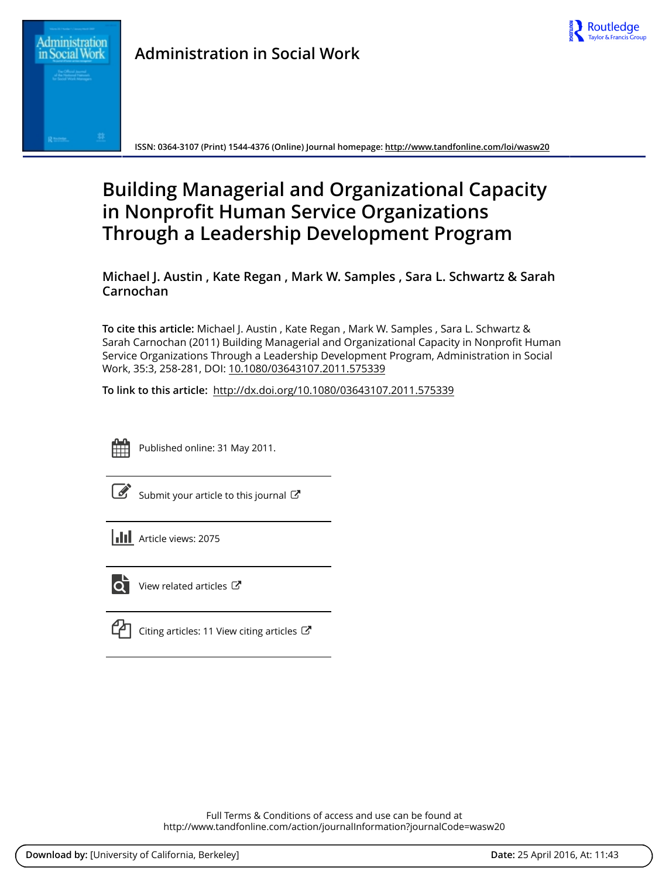

**ISSN: 0364-3107 (Print) 1544-4376 (Online) Journal homepage:<http://www.tandfonline.com/loi/wasw20>**

# **Building Managerial and Organizational Capacity in Nonprofit Human Service Organizations Through a Leadership Development Program**

**Michael J. Austin , Kate Regan , Mark W. Samples , Sara L. Schwartz & Sarah Carnochan**

**To cite this article:** Michael J. Austin , Kate Regan , Mark W. Samples , Sara L. Schwartz & Sarah Carnochan (2011) Building Managerial and Organizational Capacity in Nonprofit Human Service Organizations Through a Leadership Development Program, Administration in Social Work, 35:3, 258-281, DOI: [10.1080/03643107.2011.575339](http://www.tandfonline.com/action/showCitFormats?doi=10.1080/03643107.2011.575339)

**To link to this article:** <http://dx.doi.org/10.1080/03643107.2011.575339>



Published online: 31 May 2011.

[Submit your article to this journal](http://www.tandfonline.com/action/authorSubmission?journalCode=wasw20&page=instructions)  $\mathbb{Z}$ 

**Article views: 2075** 



 $\overrightarrow{Q}$  [View related articles](http://www.tandfonline.com/doi/mlt/10.1080/03643107.2011.575339)  $\overrightarrow{C}$ 

 $\mathbb{C}\Box$  [Citing articles: 11 View citing articles](http://www.tandfonline.com/doi/citedby/10.1080/03643107.2011.575339#tabModule)  $\mathbb{C}\Box$ 

Full Terms & Conditions of access and use can be found at <http://www.tandfonline.com/action/journalInformation?journalCode=wasw20>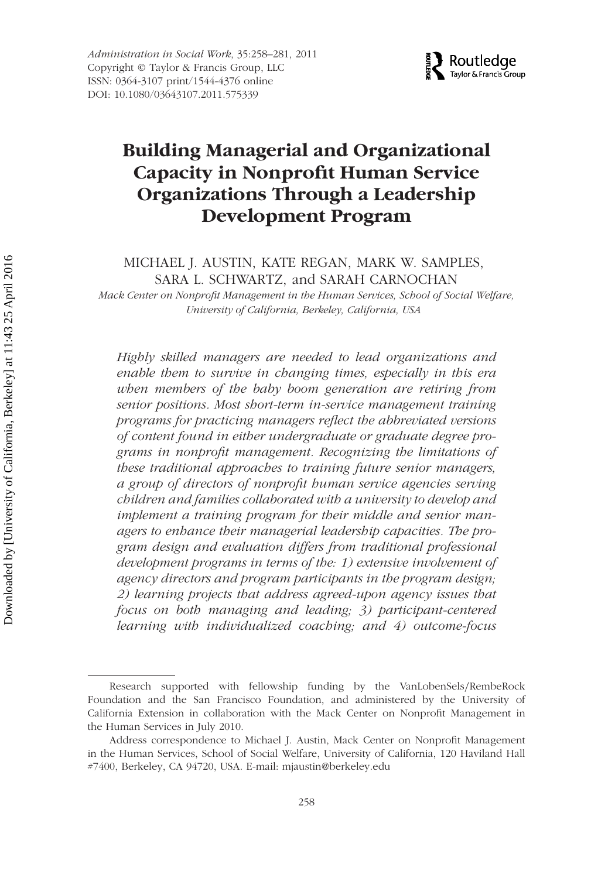

# **Building Managerial and Organizational Capacity in Nonprofit Human Service Organizations Through a Leadership Development Program**

# MICHAEL J. AUSTIN, KATE REGAN, MARK W. SAMPLES, SARA L. SCHWARTZ, and SARAH CARNOCHAN

*Mack Center on Nonprofit Management in the Human Services, School of Social Welfare, University of California, Berkeley, California, USA*

*Highly skilled managers are needed to lead organizations and enable them to survive in changing times, especially in this era when members of the baby boom generation are retiring from senior positions. Most short-term in-service management training programs for practicing managers reflect the abbreviated versions of content found in either undergraduate or graduate degree programs in nonprofit management. Recognizing the limitations of these traditional approaches to training future senior managers, a group of directors of nonprofit human service agencies serving children and families collaborated with a university to develop and implement a training program for their middle and senior managers to enhance their managerial leadership capacities. The program design and evaluation differs from traditional professional development programs in terms of the: 1) extensive involvement of agency directors and program participants in the program design; 2) learning projects that address agreed-upon agency issues that focus on both managing and leading; 3) participant-centered learning with individualized coaching; and 4) outcome-focus*

Research supported with fellowship funding by the VanLobenSels*/*RembeRock Foundation and the San Francisco Foundation, and administered by the University of California Extension in collaboration with the Mack Center on Nonprofit Management in the Human Services in July 2010.

Address correspondence to Michael J. Austin, Mack Center on Nonprofit Management in the Human Services, School of Social Welfare, University of California, 120 Haviland Hall #7400, Berkeley, CA 94720, USA. E-mail: mjaustin@berkeley.edu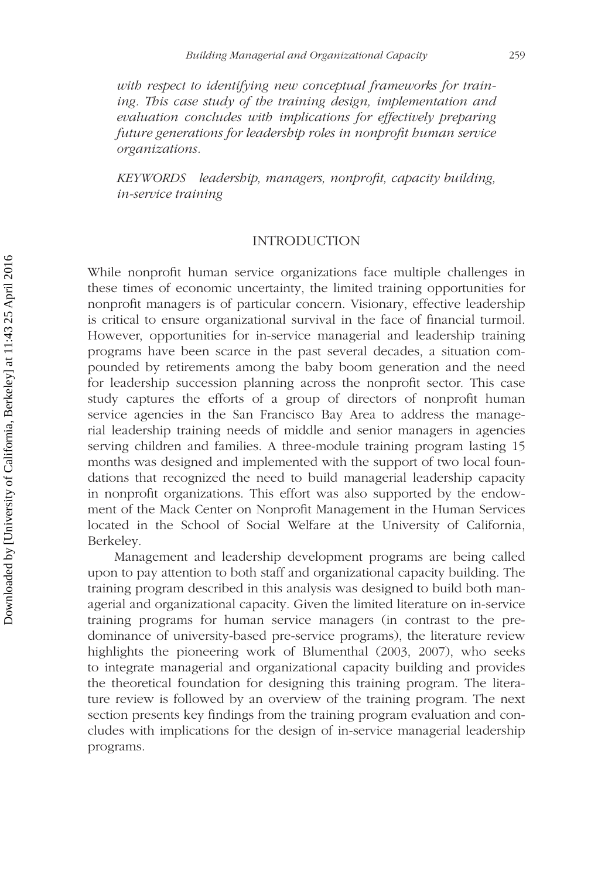*with respect to identifying new conceptual frameworks for training. This case study of the training design, implementation and evaluation concludes with implications for effectively preparing future generations for leadership roles in nonprofit human service organizations.*

*KEYWORDS leadership, managers, nonprofit, capacity building, in-service training*

# INTRODUCTION

While nonprofit human service organizations face multiple challenges in these times of economic uncertainty, the limited training opportunities for nonprofit managers is of particular concern. Visionary, effective leadership is critical to ensure organizational survival in the face of financial turmoil. However, opportunities for in-service managerial and leadership training programs have been scarce in the past several decades, a situation compounded by retirements among the baby boom generation and the need for leadership succession planning across the nonprofit sector. This case study captures the efforts of a group of directors of nonprofit human service agencies in the San Francisco Bay Area to address the managerial leadership training needs of middle and senior managers in agencies serving children and families. A three-module training program lasting 15 months was designed and implemented with the support of two local foundations that recognized the need to build managerial leadership capacity in nonprofit organizations. This effort was also supported by the endowment of the Mack Center on Nonprofit Management in the Human Services located in the School of Social Welfare at the University of California, Berkeley.

Management and leadership development programs are being called upon to pay attention to both staff and organizational capacity building. The training program described in this analysis was designed to build both managerial and organizational capacity. Given the limited literature on in-service training programs for human service managers (in contrast to the predominance of university-based pre-service programs), the literature review highlights the pioneering work of Blumenthal (2003, 2007), who seeks to integrate managerial and organizational capacity building and provides the theoretical foundation for designing this training program. The literature review is followed by an overview of the training program. The next section presents key findings from the training program evaluation and concludes with implications for the design of in-service managerial leadership programs.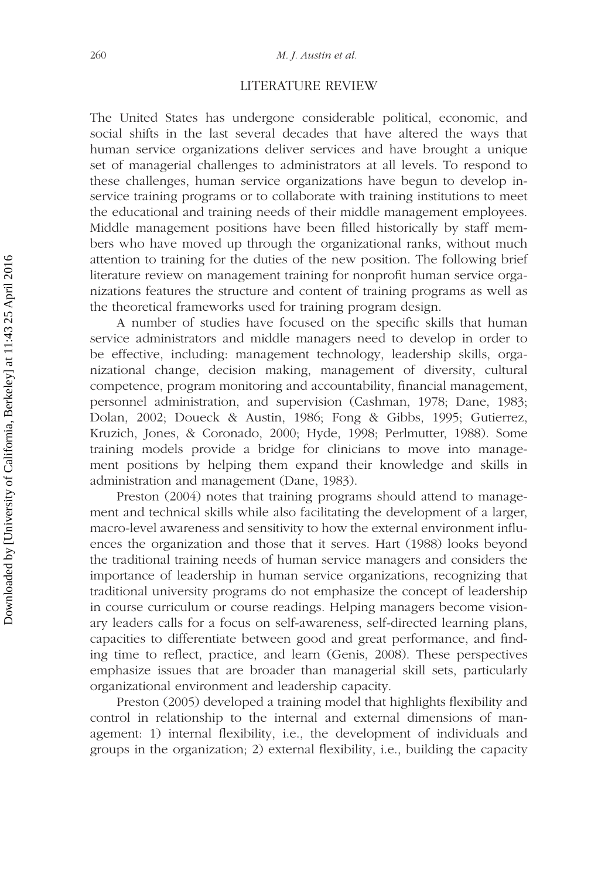# LITERATURE REVIEW

The United States has undergone considerable political, economic, and social shifts in the last several decades that have altered the ways that human service organizations deliver services and have brought a unique set of managerial challenges to administrators at all levels. To respond to these challenges, human service organizations have begun to develop inservice training programs or to collaborate with training institutions to meet the educational and training needs of their middle management employees. Middle management positions have been filled historically by staff members who have moved up through the organizational ranks, without much attention to training for the duties of the new position. The following brief literature review on management training for nonprofit human service organizations features the structure and content of training programs as well as the theoretical frameworks used for training program design.

A number of studies have focused on the specific skills that human service administrators and middle managers need to develop in order to be effective, including: management technology, leadership skills, organizational change, decision making, management of diversity, cultural competence, program monitoring and accountability, financial management, personnel administration, and supervision (Cashman, 1978; Dane, 1983; Dolan, 2002; Doueck & Austin, 1986; Fong & Gibbs, 1995; Gutierrez, Kruzich, Jones, & Coronado, 2000; Hyde, 1998; Perlmutter, 1988). Some training models provide a bridge for clinicians to move into management positions by helping them expand their knowledge and skills in administration and management (Dane, 1983).

Preston (2004) notes that training programs should attend to management and technical skills while also facilitating the development of a larger, macro-level awareness and sensitivity to how the external environment influences the organization and those that it serves. Hart (1988) looks beyond the traditional training needs of human service managers and considers the importance of leadership in human service organizations, recognizing that traditional university programs do not emphasize the concept of leadership in course curriculum or course readings. Helping managers become visionary leaders calls for a focus on self-awareness, self-directed learning plans, capacities to differentiate between good and great performance, and finding time to reflect, practice, and learn (Genis, 2008). These perspectives emphasize issues that are broader than managerial skill sets, particularly organizational environment and leadership capacity.

Preston (2005) developed a training model that highlights flexibility and control in relationship to the internal and external dimensions of management: 1) internal flexibility, i.e., the development of individuals and groups in the organization; 2) external flexibility, i.e., building the capacity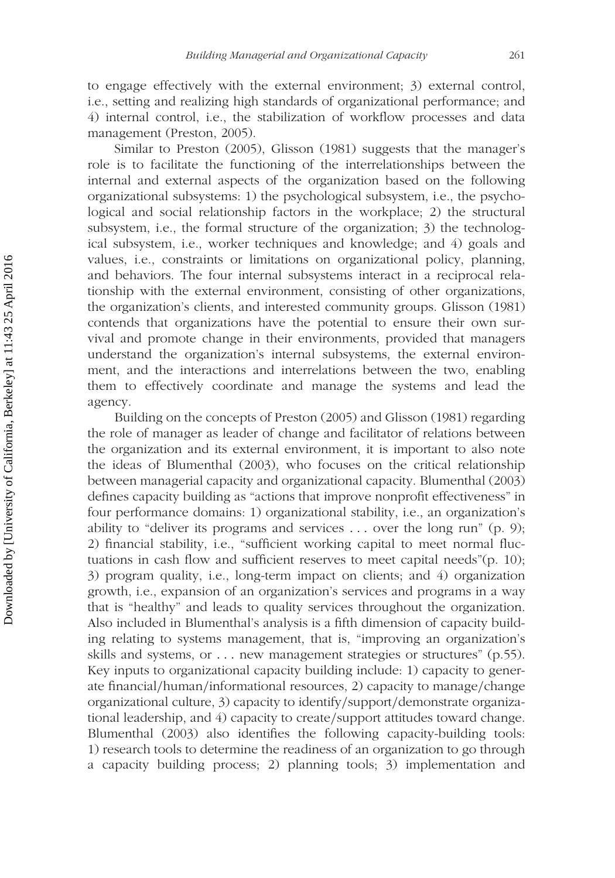to engage effectively with the external environment; 3) external control, i.e., setting and realizing high standards of organizational performance; and 4) internal control, i.e., the stabilization of workflow processes and data management (Preston, 2005).

Similar to Preston (2005), Glisson (1981) suggests that the manager's role is to facilitate the functioning of the interrelationships between the internal and external aspects of the organization based on the following organizational subsystems: 1) the psychological subsystem, i.e., the psychological and social relationship factors in the workplace; 2) the structural subsystem, i.e., the formal structure of the organization; 3) the technological subsystem, i.e., worker techniques and knowledge; and 4) goals and values, i.e., constraints or limitations on organizational policy, planning, and behaviors. The four internal subsystems interact in a reciprocal relationship with the external environment, consisting of other organizations, the organization's clients, and interested community groups. Glisson (1981) contends that organizations have the potential to ensure their own survival and promote change in their environments, provided that managers understand the organization's internal subsystems, the external environment, and the interactions and interrelations between the two, enabling them to effectively coordinate and manage the systems and lead the agency.

Building on the concepts of Preston (2005) and Glisson (1981) regarding the role of manager as leader of change and facilitator of relations between the organization and its external environment, it is important to also note the ideas of Blumenthal (2003), who focuses on the critical relationship between managerial capacity and organizational capacity. Blumenthal (2003) defines capacity building as "actions that improve nonprofit effectiveness" in four performance domains: 1) organizational stability, i.e., an organization's ability to "deliver its programs and services *...* over the long run" (p. 9); 2) financial stability, i.e., "sufficient working capital to meet normal fluctuations in cash flow and sufficient reserves to meet capital needs"(p. 10); 3) program quality, i.e., long-term impact on clients; and 4) organization growth, i.e., expansion of an organization's services and programs in a way that is "healthy" and leads to quality services throughout the organization. Also included in Blumenthal's analysis is a fifth dimension of capacity building relating to systems management, that is, "improving an organization's skills and systems, or *...* new management strategies or structures" (p.55). Key inputs to organizational capacity building include: 1) capacity to generate financial*/*human*/*informational resources, 2) capacity to manage*/*change organizational culture, 3) capacity to identify*/*support*/*demonstrate organizational leadership, and 4) capacity to create*/*support attitudes toward change. Blumenthal (2003) also identifies the following capacity-building tools: 1) research tools to determine the readiness of an organization to go through a capacity building process; 2) planning tools; 3) implementation and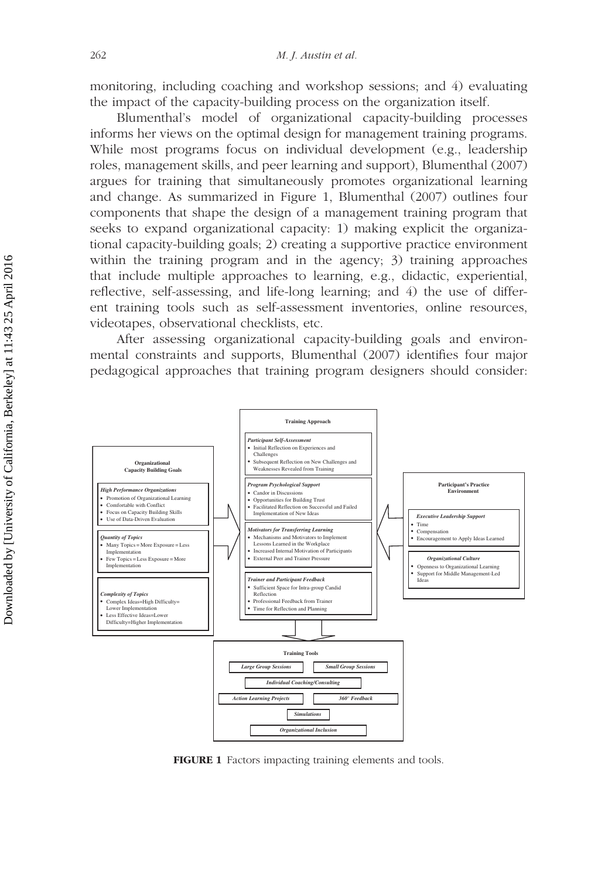monitoring, including coaching and workshop sessions; and 4) evaluating the impact of the capacity-building process on the organization itself.

Blumenthal's model of organizational capacity-building processes informs her views on the optimal design for management training programs. While most programs focus on individual development (e.g., leadership roles, management skills, and peer learning and support), Blumenthal (2007) argues for training that simultaneously promotes organizational learning and change. As summarized in Figure 1, Blumenthal (2007) outlines four components that shape the design of a management training program that seeks to expand organizational capacity: 1) making explicit the organizational capacity-building goals; 2) creating a supportive practice environment within the training program and in the agency; 3) training approaches that include multiple approaches to learning, e.g., didactic, experiential, reflective, self-assessing, and life-long learning; and 4) the use of different training tools such as self-assessment inventories, online resources, videotapes, observational checklists, etc.

After assessing organizational capacity-building goals and environmental constraints and supports, Blumenthal (2007) identifies four major pedagogical approaches that training program designers should consider:



**FIGURE 1** Factors impacting training elements and tools.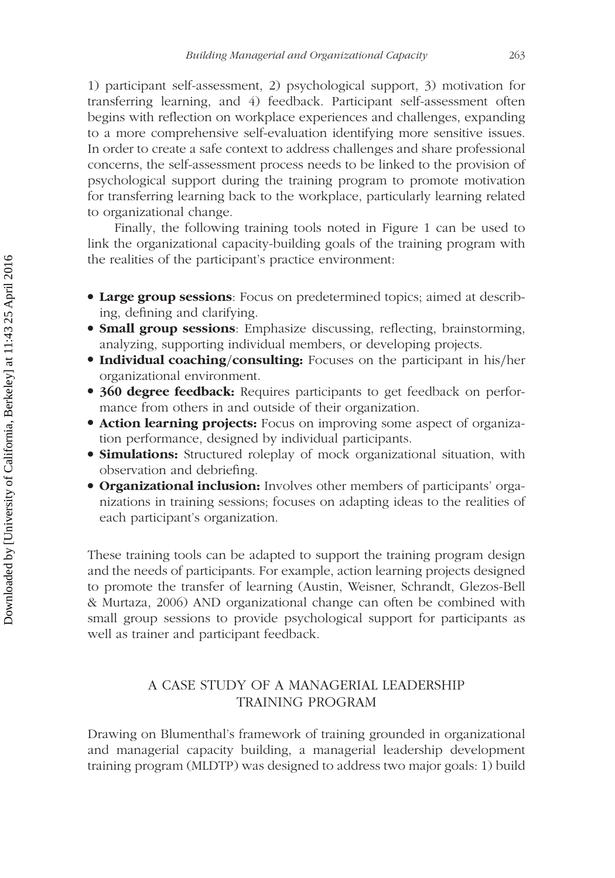1) participant self-assessment, 2) psychological support, 3) motivation for transferring learning, and 4) feedback. Participant self-assessment often begins with reflection on workplace experiences and challenges, expanding to a more comprehensive self-evaluation identifying more sensitive issues. In order to create a safe context to address challenges and share professional concerns, the self-assessment process needs to be linked to the provision of psychological support during the training program to promote motivation for transferring learning back to the workplace, particularly learning related to organizational change.

Finally, the following training tools noted in Figure 1 can be used to link the organizational capacity-building goals of the training program with the realities of the participant's practice environment:

- **Large group sessions**: Focus on predetermined topics; aimed at describing, defining and clarifying.
- **Small group sessions**: Emphasize discussing, reflecting, brainstorming, analyzing, supporting individual members, or developing projects.
- **Individual coaching***/***consulting:** Focuses on the participant in his*/*her organizational environment.
- **360 degree feedback:** Requires participants to get feedback on performance from others in and outside of their organization.
- **Action learning projects:** Focus on improving some aspect of organization performance, designed by individual participants.
- **Simulations:** Structured roleplay of mock organizational situation, with observation and debriefing.
- **Organizational inclusion:** Involves other members of participants' organizations in training sessions; focuses on adapting ideas to the realities of each participant's organization.

These training tools can be adapted to support the training program design and the needs of participants. For example, action learning projects designed to promote the transfer of learning (Austin, Weisner, Schrandt, Glezos-Bell & Murtaza, 2006) AND organizational change can often be combined with small group sessions to provide psychological support for participants as well as trainer and participant feedback.

# A CASE STUDY OF A MANAGERIAL LEADERSHIP TRAINING PROGRAM

Drawing on Blumenthal's framework of training grounded in organizational and managerial capacity building, a managerial leadership development training program (MLDTP) was designed to address two major goals: 1) build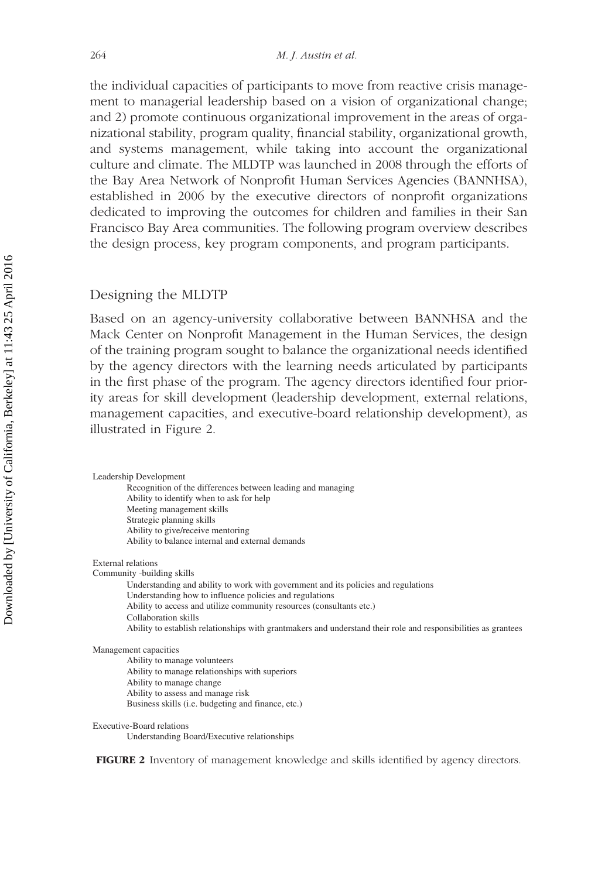the individual capacities of participants to move from reactive crisis management to managerial leadership based on a vision of organizational change; and 2) promote continuous organizational improvement in the areas of organizational stability, program quality, financial stability, organizational growth, and systems management, while taking into account the organizational culture and climate. The MLDTP was launched in 2008 through the efforts of the Bay Area Network of Nonprofit Human Services Agencies (BANNHSA), established in 2006 by the executive directors of nonprofit organizations dedicated to improving the outcomes for children and families in their San Francisco Bay Area communities. The following program overview describes the design process, key program components, and program participants.

#### Designing the MLDTP

Based on an agency-university collaborative between BANNHSA and the Mack Center on Nonprofit Management in the Human Services, the design of the training program sought to balance the organizational needs identified by the agency directors with the learning needs articulated by participants in the first phase of the program. The agency directors identified four priority areas for skill development (leadership development, external relations, management capacities, and executive-board relationship development), as illustrated in Figure 2.

Leadership Development Recognition of the differences between leading and managing Ability to identify when to ask for help Meeting management skills Strategic planning skills Ability to give/receive mentoring Ability to balance internal and external demands

External relations

Community -building skills

Understanding and ability to work with government and its policies and regulations Understanding how to influence policies and regulations Ability to access and utilize community resources (consultants etc.) Collaboration skills Ability to establish relationships with grantmakers and understand their role and responsibilities as grantees

#### Management capacities

Ability to manage volunteers Ability to manage relationships with superiors Ability to manage change Ability to assess and manage risk Business skills (i.e. budgeting and finance, etc.)

#### Executive-Board relations

Understanding Board/Executive relationships

**FIGURE 2** Inventory of management knowledge and skills identified by agency directors.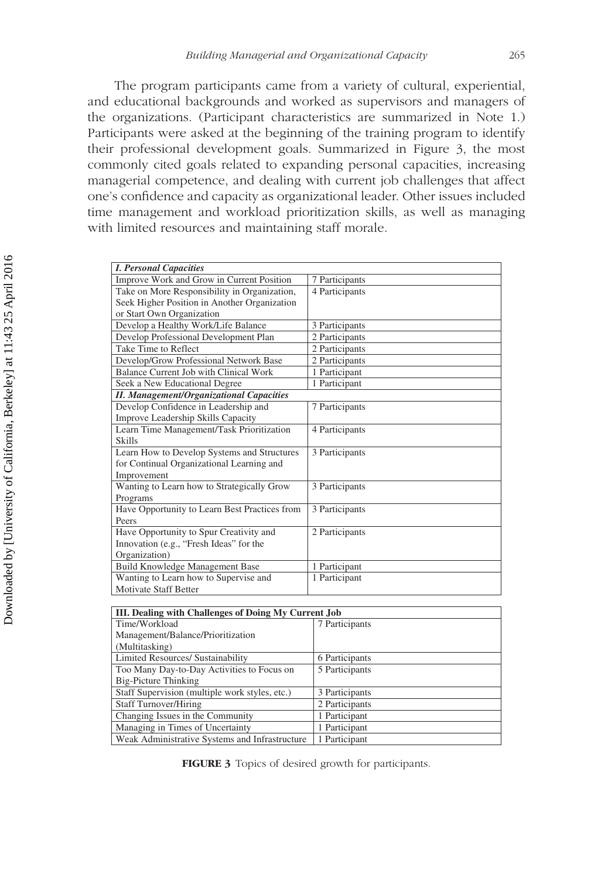The program participants came from a variety of cultural, experiential, and educational backgrounds and worked as supervisors and managers of the organizations. (Participant characteristics are summarized in Note 1.) Participants were asked at the beginning of the training program to identify their professional development goals. Summarized in Figure 3, the most commonly cited goals related to expanding personal capacities, increasing managerial competence, and dealing with current job challenges that affect one's confidence and capacity as organizational leader. Other issues included time management and workload prioritization skills, as well as managing with limited resources and maintaining staff morale.

| <b>I. Personal Capacities</b>                   |                |
|-------------------------------------------------|----------------|
| Improve Work and Grow in Current Position       | 7 Participants |
| Take on More Responsibility in Organization,    | 4 Participants |
| Seek Higher Position in Another Organization    |                |
| or Start Own Organization                       |                |
| Develop a Healthy Work/Life Balance             | 3 Participants |
| Develop Professional Development Plan           | 2 Participants |
| Take Time to Reflect                            | 2 Participants |
| Develop/Grow Professional Network Base          | 2 Participants |
| Balance Current Job with Clinical Work          | 1 Participant  |
| Seek a New Educational Degree                   | 1 Participant  |
| <b>II. Management/Organizational Capacities</b> |                |
| Develop Confidence in Leadership and            | 7 Participants |
| Improve Leadership Skills Capacity              |                |
| Learn Time Management/Task Prioritization       | 4 Participants |
| <b>Skills</b>                                   |                |
| Learn How to Develop Systems and Structures     | 3 Participants |
| for Continual Organizational Learning and       |                |
| Improvement                                     |                |
| Wanting to Learn how to Strategically Grow      | 3 Participants |
| Programs                                        |                |
| Have Opportunity to Learn Best Practices from   | 3 Participants |
| Peers                                           |                |
| Have Opportunity to Spur Creativity and         | 2 Participants |
| Innovation (e.g., "Fresh Ideas" for the         |                |
| Organization)                                   |                |
| Build Knowledge Management Base                 | 1 Participant  |
| Wanting to Learn how to Supervise and           | 1 Participant  |
| <b>Motivate Staff Better</b>                    |                |

| III. Dealing with Challenges of Doing My Current Job |                |
|------------------------------------------------------|----------------|
| Time/Workload                                        | 7 Participants |
| Management/Balance/Prioritization                    |                |
| (Multitasking)                                       |                |
| Limited Resources/ Sustainability                    | 6 Participants |
| Too Many Day-to-Day Activities to Focus on           | 5 Participants |
| Big-Picture Thinking                                 |                |
| Staff Supervision (multiple work styles, etc.)       | 3 Participants |
| <b>Staff Turnover/Hiring</b>                         | 2 Participants |
| Changing Issues in the Community                     | 1 Participant  |
| Managing in Times of Uncertainty                     | 1 Participant  |
| Weak Administrative Systems and Infrastructure       | 1 Participant  |

**FIGURE 3** Topics of desired growth for participants.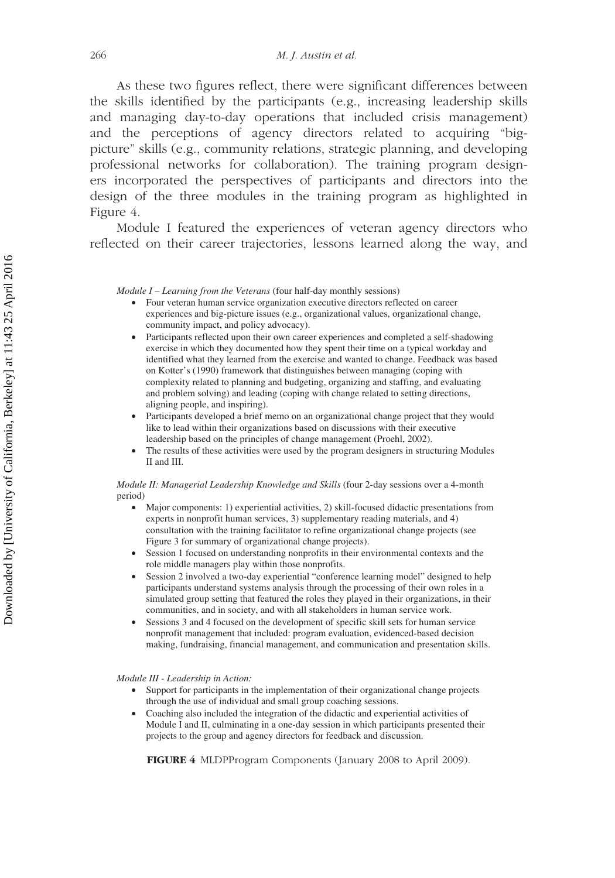As these two figures reflect, there were significant differences between the skills identified by the participants (e.g., increasing leadership skills and managing day-to-day operations that included crisis management) and the perceptions of agency directors related to acquiring "bigpicture" skills (e.g., community relations, strategic planning, and developing professional networks for collaboration). The training program designers incorporated the perspectives of participants and directors into the design of the three modules in the training program as highlighted in Figure 4.

Module I featured the experiences of veteran agency directors who reflected on their career trajectories, lessons learned along the way, and

*Module I – Learning from the Veterans* (four half-day monthly sessions)

- Four veteran human service organization executive directors reflected on career experiences and big-picture issues (e.g., organizational values, organizational change, community impact, and policy advocacy).
- Participants reflected upon their own career experiences and completed a self-shadowing exercise in which they documented how they spent their time on a typical workday and identified what they learned from the exercise and wanted to change. Feedback was based on Kotter's (1990) framework that distinguishes between managing (coping with complexity related to planning and budgeting, organizing and staffing, and evaluating and problem solving) and leading (coping with change related to setting directions, aligning people, and inspiring).
- Participants developed a brief memo on an organizational change project that they would like to lead within their organizations based on discussions with their executive leadership based on the principles of change management (Proehl, 2002).
- The results of these activities were used by the program designers in structuring Modules II and III.

*Module II: Managerial Leadership Knowledge and Skills* (four 2-day sessions over a 4-month period)

- Major components: 1) experiential activities, 2) skill-focused didactic presentations from experts in nonprofit human services, 3) supplementary reading materials, and 4) consultation with the training facilitator to refine organizational change projects (see Figure 3 for summary of organizational change projects).
- Session 1 focused on understanding nonprofits in their environmental contexts and the role middle managers play within those nonprofits.
- Session 2 involved a two-day experiential "conference learning model" designed to help participants understand systems analysis through the processing of their own roles in a simulated group setting that featured the roles they played in their organizations, in their communities, and in society, and with all stakeholders in human service work.
- Sessions 3 and 4 focused on the development of specific skill sets for human service nonprofit management that included: program evaluation, evidenced-based decision making, fundraising, financial management, and communication and presentation skills.

*Module III - Leadership in Action:* 

- Support for participants in the implementation of their organizational change projects through the use of individual and small group coaching sessions.
- Coaching also included the integration of the didactic and experiential activities of Module I and II, culminating in a one-day session in which participants presented their projects to the group and agency directors for feedback and discussion.

**FIGURE 4** MLDPProgram Components (January 2008 to April 2009).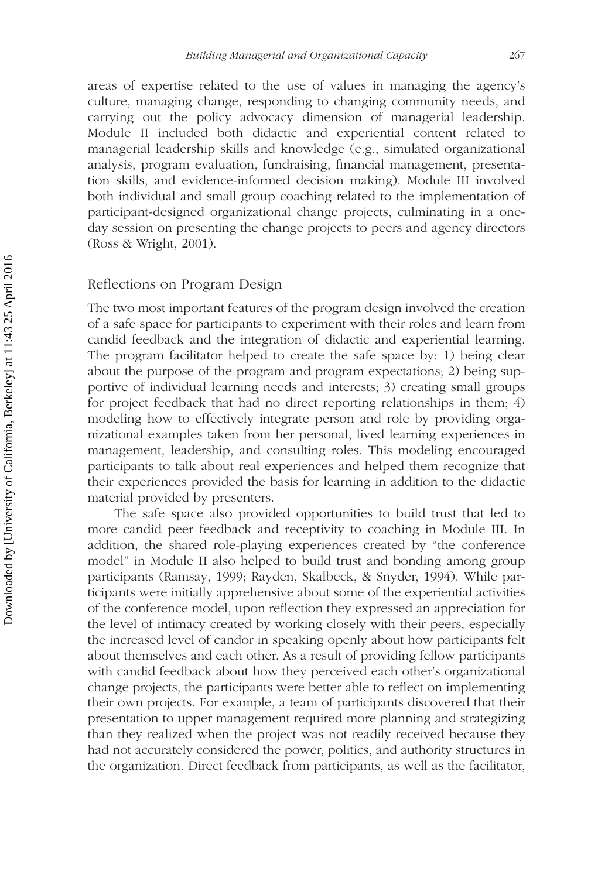areas of expertise related to the use of values in managing the agency's culture, managing change, responding to changing community needs, and carrying out the policy advocacy dimension of managerial leadership. Module II included both didactic and experiential content related to managerial leadership skills and knowledge (e.g., simulated organizational analysis, program evaluation, fundraising, financial management, presentation skills, and evidence-informed decision making). Module III involved both individual and small group coaching related to the implementation of participant-designed organizational change projects, culminating in a oneday session on presenting the change projects to peers and agency directors (Ross & Wright, 2001).

#### Reflections on Program Design

The two most important features of the program design involved the creation of a safe space for participants to experiment with their roles and learn from candid feedback and the integration of didactic and experiential learning. The program facilitator helped to create the safe space by: 1) being clear about the purpose of the program and program expectations; 2) being supportive of individual learning needs and interests; 3) creating small groups for project feedback that had no direct reporting relationships in them; 4) modeling how to effectively integrate person and role by providing organizational examples taken from her personal, lived learning experiences in management, leadership, and consulting roles. This modeling encouraged participants to talk about real experiences and helped them recognize that their experiences provided the basis for learning in addition to the didactic material provided by presenters.

The safe space also provided opportunities to build trust that led to more candid peer feedback and receptivity to coaching in Module III. In addition, the shared role-playing experiences created by "the conference model" in Module II also helped to build trust and bonding among group participants (Ramsay, 1999; Rayden, Skalbeck, & Snyder, 1994). While participants were initially apprehensive about some of the experiential activities of the conference model, upon reflection they expressed an appreciation for the level of intimacy created by working closely with their peers, especially the increased level of candor in speaking openly about how participants felt about themselves and each other. As a result of providing fellow participants with candid feedback about how they perceived each other's organizational change projects, the participants were better able to reflect on implementing their own projects. For example, a team of participants discovered that their presentation to upper management required more planning and strategizing than they realized when the project was not readily received because they had not accurately considered the power, politics, and authority structures in the organization. Direct feedback from participants, as well as the facilitator,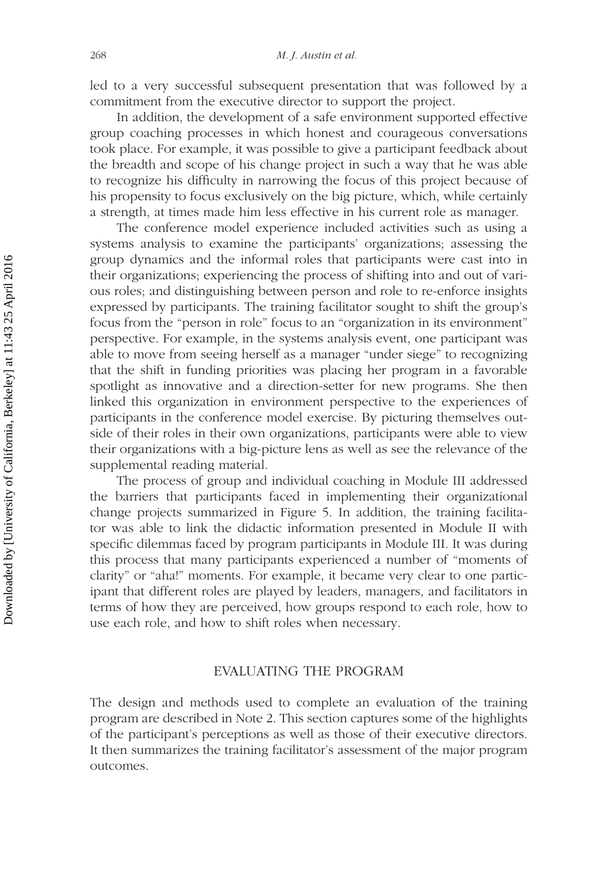led to a very successful subsequent presentation that was followed by a commitment from the executive director to support the project.

In addition, the development of a safe environment supported effective group coaching processes in which honest and courageous conversations took place. For example, it was possible to give a participant feedback about the breadth and scope of his change project in such a way that he was able to recognize his difficulty in narrowing the focus of this project because of his propensity to focus exclusively on the big picture, which, while certainly a strength, at times made him less effective in his current role as manager.

The conference model experience included activities such as using a systems analysis to examine the participants' organizations; assessing the group dynamics and the informal roles that participants were cast into in their organizations; experiencing the process of shifting into and out of various roles; and distinguishing between person and role to re-enforce insights expressed by participants. The training facilitator sought to shift the group's focus from the "person in role" focus to an "organization in its environment" perspective. For example, in the systems analysis event, one participant was able to move from seeing herself as a manager "under siege" to recognizing that the shift in funding priorities was placing her program in a favorable spotlight as innovative and a direction-setter for new programs. She then linked this organization in environment perspective to the experiences of participants in the conference model exercise. By picturing themselves outside of their roles in their own organizations, participants were able to view their organizations with a big-picture lens as well as see the relevance of the supplemental reading material.

The process of group and individual coaching in Module III addressed the barriers that participants faced in implementing their organizational change projects summarized in Figure 5. In addition, the training facilitator was able to link the didactic information presented in Module II with specific dilemmas faced by program participants in Module III. It was during this process that many participants experienced a number of "moments of clarity" or "aha!" moments. For example, it became very clear to one participant that different roles are played by leaders, managers, and facilitators in terms of how they are perceived, how groups respond to each role, how to use each role, and how to shift roles when necessary.

# EVALUATING THE PROGRAM

The design and methods used to complete an evaluation of the training program are described in Note 2. This section captures some of the highlights of the participant's perceptions as well as those of their executive directors. It then summarizes the training facilitator's assessment of the major program outcomes.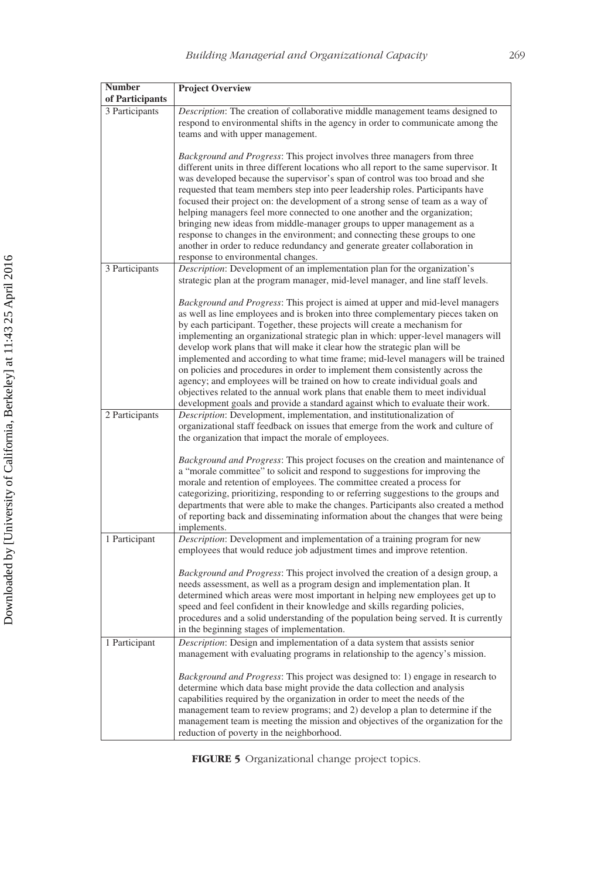| Number          | <b>Project Overview</b>                                                                                                                                                                                                                                                                                                                                                                                                                                                                                                                                                                                                                                                                                                                                                                                                                    |
|-----------------|--------------------------------------------------------------------------------------------------------------------------------------------------------------------------------------------------------------------------------------------------------------------------------------------------------------------------------------------------------------------------------------------------------------------------------------------------------------------------------------------------------------------------------------------------------------------------------------------------------------------------------------------------------------------------------------------------------------------------------------------------------------------------------------------------------------------------------------------|
| of Participants |                                                                                                                                                                                                                                                                                                                                                                                                                                                                                                                                                                                                                                                                                                                                                                                                                                            |
| 3 Participants  | Description: The creation of collaborative middle management teams designed to<br>respond to environmental shifts in the agency in order to communicate among the<br>teams and with upper management.                                                                                                                                                                                                                                                                                                                                                                                                                                                                                                                                                                                                                                      |
|                 | Background and Progress: This project involves three managers from three<br>different units in three different locations who all report to the same supervisor. It<br>was developed because the supervisor's span of control was too broad and she<br>requested that team members step into peer leadership roles. Participants have<br>focused their project on: the development of a strong sense of team as a way of<br>helping managers feel more connected to one another and the organization;<br>bringing new ideas from middle-manager groups to upper management as a<br>response to changes in the environment; and connecting these groups to one<br>another in order to reduce redundancy and generate greater collaboration in<br>response to environmental changes.                                                          |
| 3 Participants  | Description: Development of an implementation plan for the organization's<br>strategic plan at the program manager, mid-level manager, and line staff levels.                                                                                                                                                                                                                                                                                                                                                                                                                                                                                                                                                                                                                                                                              |
|                 | Background and Progress: This project is aimed at upper and mid-level managers<br>as well as line employees and is broken into three complementary pieces taken on<br>by each participant. Together, these projects will create a mechanism for<br>implementing an organizational strategic plan in which: upper-level managers will<br>develop work plans that will make it clear how the strategic plan will be<br>implemented and according to what time frame; mid-level managers will be trained<br>on policies and procedures in order to implement them consistently across the<br>agency; and employees will be trained on how to create individual goals and<br>objectives related to the annual work plans that enable them to meet individual<br>development goals and provide a standard against which to evaluate their work. |
| 2 Participants  | Description: Development, implementation, and institutionalization of<br>organizational staff feedback on issues that emerge from the work and culture of<br>the organization that impact the morale of employees.                                                                                                                                                                                                                                                                                                                                                                                                                                                                                                                                                                                                                         |
|                 | <i>Background and Progress:</i> This project focuses on the creation and maintenance of<br>a "morale committee" to solicit and respond to suggestions for improving the<br>morale and retention of employees. The committee created a process for<br>categorizing, prioritizing, responding to or referring suggestions to the groups and<br>departments that were able to make the changes. Participants also created a method<br>of reporting back and disseminating information about the changes that were being<br>implements.                                                                                                                                                                                                                                                                                                        |
| 1 Participant   | Description: Development and implementation of a training program for new<br>employees that would reduce job adjustment times and improve retention.                                                                                                                                                                                                                                                                                                                                                                                                                                                                                                                                                                                                                                                                                       |
|                 | Background and Progress: This project involved the creation of a design group, a<br>needs assessment, as well as a program design and implementation plan. It<br>determined which areas were most important in helping new employees get up to<br>speed and feel confident in their knowledge and skills regarding policies,<br>procedures and a solid understanding of the population being served. It is currently<br>in the beginning stages of implementation.                                                                                                                                                                                                                                                                                                                                                                         |
| 1 Participant   | <i>Description:</i> Design and implementation of a data system that assists senior<br>management with evaluating programs in relationship to the agency's mission.                                                                                                                                                                                                                                                                                                                                                                                                                                                                                                                                                                                                                                                                         |
|                 | Background and Progress: This project was designed to: 1) engage in research to<br>determine which data base might provide the data collection and analysis<br>capabilities required by the organization in order to meet the needs of the<br>management team to review programs; and 2) develop a plan to determine if the<br>management team is meeting the mission and objectives of the organization for the<br>reduction of poverty in the neighborhood.                                                                                                                                                                                                                                                                                                                                                                              |

**FIGURE 5** Organizational change project topics.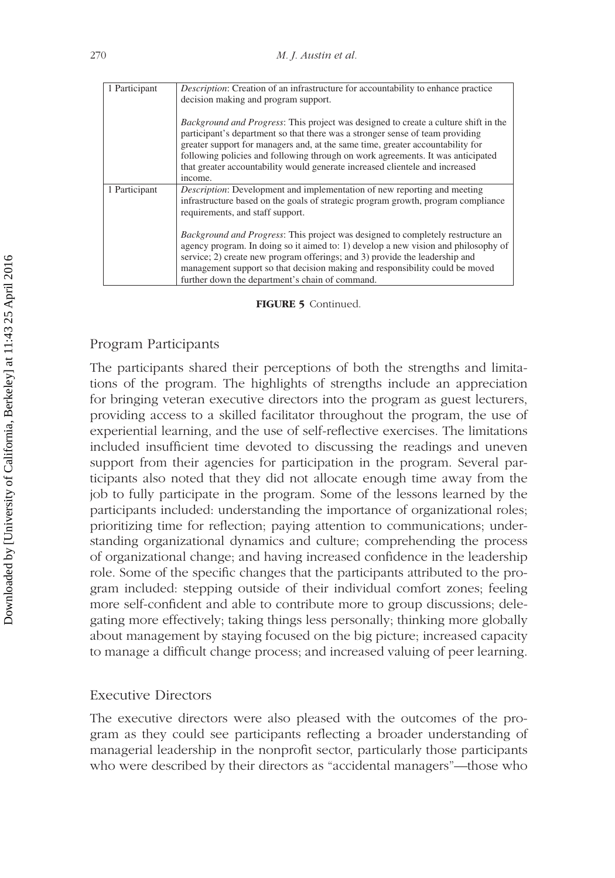| 1 Participant<br><i>Description:</i> Creation of an infrastructure for accountability to enhance practice                                                                                                                                                                                                                                                                                      |
|------------------------------------------------------------------------------------------------------------------------------------------------------------------------------------------------------------------------------------------------------------------------------------------------------------------------------------------------------------------------------------------------|
| decision making and program support.                                                                                                                                                                                                                                                                                                                                                           |
|                                                                                                                                                                                                                                                                                                                                                                                                |
| <i>Background and Progress:</i> This project was designed to create a culture shift in the<br>participant's department so that there was a stronger sense of team providing<br>greater support for managers and, at the same time, greater accountability for                                                                                                                                  |
| following policies and following through on work agreements. It was anticipated<br>that greater accountability would generate increased clientele and increased                                                                                                                                                                                                                                |
| income.                                                                                                                                                                                                                                                                                                                                                                                        |
| <i>Description:</i> Development and implementation of new reporting and meeting<br>infrastructure based on the goals of strategic program growth, program compliance<br>requirements, and staff support.                                                                                                                                                                                       |
| <i>Background and Progress:</i> This project was designed to completely restructure an<br>agency program. In doing so it aimed to: 1) develop a new vision and philosophy of<br>service; 2) create new program offerings; and 3) provide the leadership and<br>management support so that decision making and responsibility could be moved<br>further down the department's chain of command. |
| 1 Participant                                                                                                                                                                                                                                                                                                                                                                                  |

#### **FIGURE 5** Continued.

#### Program Participants

The participants shared their perceptions of both the strengths and limitations of the program. The highlights of strengths include an appreciation for bringing veteran executive directors into the program as guest lecturers, providing access to a skilled facilitator throughout the program, the use of experiential learning, and the use of self-reflective exercises. The limitations included insufficient time devoted to discussing the readings and uneven support from their agencies for participation in the program. Several participants also noted that they did not allocate enough time away from the job to fully participate in the program. Some of the lessons learned by the participants included: understanding the importance of organizational roles; prioritizing time for reflection; paying attention to communications; understanding organizational dynamics and culture; comprehending the process of organizational change; and having increased confidence in the leadership role. Some of the specific changes that the participants attributed to the program included: stepping outside of their individual comfort zones; feeling more self-confident and able to contribute more to group discussions; delegating more effectively; taking things less personally; thinking more globally about management by staying focused on the big picture; increased capacity to manage a difficult change process; and increased valuing of peer learning.

#### Executive Directors

The executive directors were also pleased with the outcomes of the program as they could see participants reflecting a broader understanding of managerial leadership in the nonprofit sector, particularly those participants who were described by their directors as "accidental managers"—those who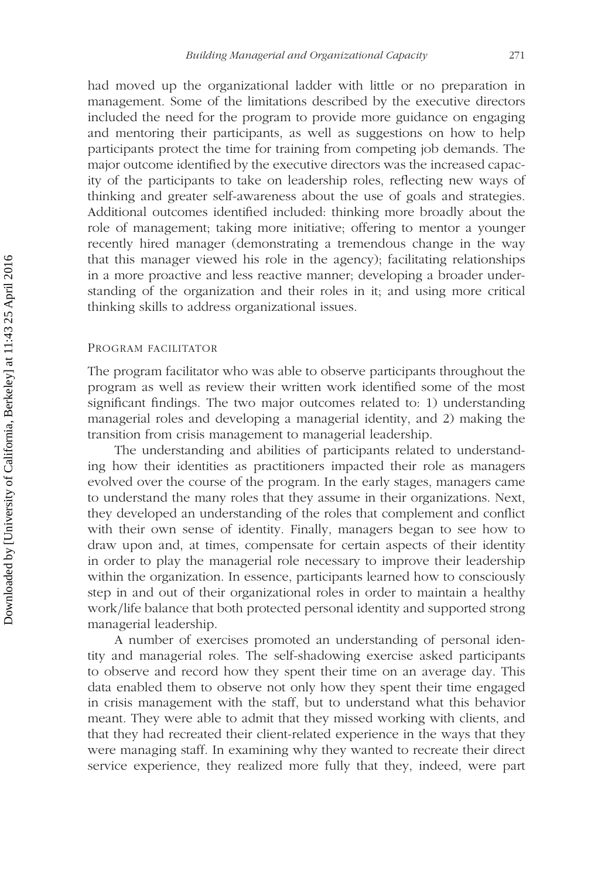had moved up the organizational ladder with little or no preparation in management. Some of the limitations described by the executive directors included the need for the program to provide more guidance on engaging and mentoring their participants, as well as suggestions on how to help participants protect the time for training from competing job demands. The major outcome identified by the executive directors was the increased capacity of the participants to take on leadership roles, reflecting new ways of thinking and greater self-awareness about the use of goals and strategies. Additional outcomes identified included: thinking more broadly about the role of management; taking more initiative; offering to mentor a younger recently hired manager (demonstrating a tremendous change in the way that this manager viewed his role in the agency); facilitating relationships in a more proactive and less reactive manner; developing a broader understanding of the organization and their roles in it; and using more critical thinking skills to address organizational issues.

#### PROGRAM FACILITATOR

The program facilitator who was able to observe participants throughout the program as well as review their written work identified some of the most significant findings. The two major outcomes related to: 1) understanding managerial roles and developing a managerial identity, and 2) making the transition from crisis management to managerial leadership.

The understanding and abilities of participants related to understanding how their identities as practitioners impacted their role as managers evolved over the course of the program. In the early stages, managers came to understand the many roles that they assume in their organizations. Next, they developed an understanding of the roles that complement and conflict with their own sense of identity. Finally, managers began to see how to draw upon and, at times, compensate for certain aspects of their identity in order to play the managerial role necessary to improve their leadership within the organization. In essence, participants learned how to consciously step in and out of their organizational roles in order to maintain a healthy work*/*life balance that both protected personal identity and supported strong managerial leadership.

A number of exercises promoted an understanding of personal identity and managerial roles. The self-shadowing exercise asked participants to observe and record how they spent their time on an average day. This data enabled them to observe not only how they spent their time engaged in crisis management with the staff, but to understand what this behavior meant. They were able to admit that they missed working with clients, and that they had recreated their client-related experience in the ways that they were managing staff. In examining why they wanted to recreate their direct service experience, they realized more fully that they, indeed, were part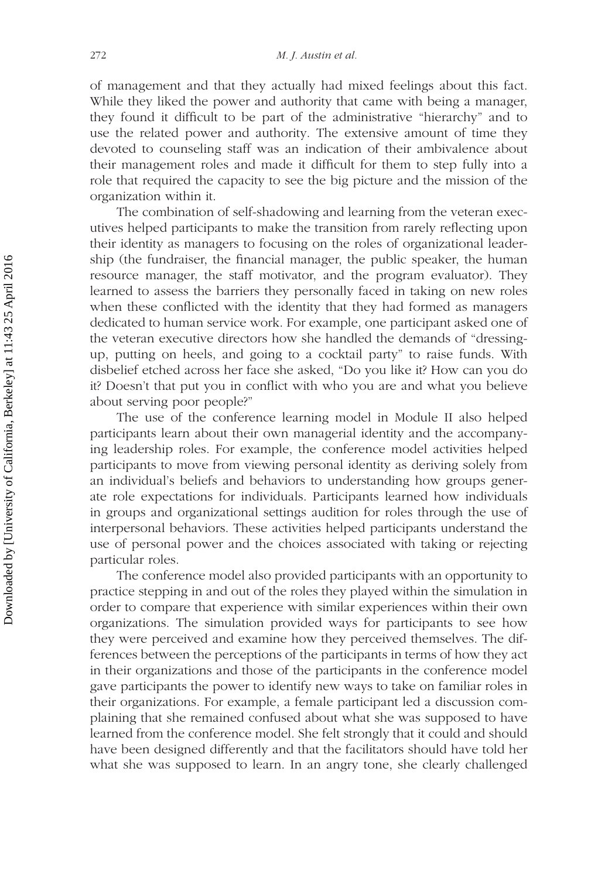of management and that they actually had mixed feelings about this fact. While they liked the power and authority that came with being a manager, they found it difficult to be part of the administrative "hierarchy" and to use the related power and authority. The extensive amount of time they devoted to counseling staff was an indication of their ambivalence about their management roles and made it difficult for them to step fully into a role that required the capacity to see the big picture and the mission of the organization within it.

The combination of self-shadowing and learning from the veteran executives helped participants to make the transition from rarely reflecting upon their identity as managers to focusing on the roles of organizational leadership (the fundraiser, the financial manager, the public speaker, the human resource manager, the staff motivator, and the program evaluator). They learned to assess the barriers they personally faced in taking on new roles when these conflicted with the identity that they had formed as managers dedicated to human service work. For example, one participant asked one of the veteran executive directors how she handled the demands of "dressingup, putting on heels, and going to a cocktail party" to raise funds. With disbelief etched across her face she asked, "Do you like it? How can you do it? Doesn't that put you in conflict with who you are and what you believe about serving poor people?"

The use of the conference learning model in Module II also helped participants learn about their own managerial identity and the accompanying leadership roles. For example, the conference model activities helped participants to move from viewing personal identity as deriving solely from an individual's beliefs and behaviors to understanding how groups generate role expectations for individuals. Participants learned how individuals in groups and organizational settings audition for roles through the use of interpersonal behaviors. These activities helped participants understand the use of personal power and the choices associated with taking or rejecting particular roles.

The conference model also provided participants with an opportunity to practice stepping in and out of the roles they played within the simulation in order to compare that experience with similar experiences within their own organizations. The simulation provided ways for participants to see how they were perceived and examine how they perceived themselves. The differences between the perceptions of the participants in terms of how they act in their organizations and those of the participants in the conference model gave participants the power to identify new ways to take on familiar roles in their organizations. For example, a female participant led a discussion complaining that she remained confused about what she was supposed to have learned from the conference model. She felt strongly that it could and should have been designed differently and that the facilitators should have told her what she was supposed to learn. In an angry tone, she clearly challenged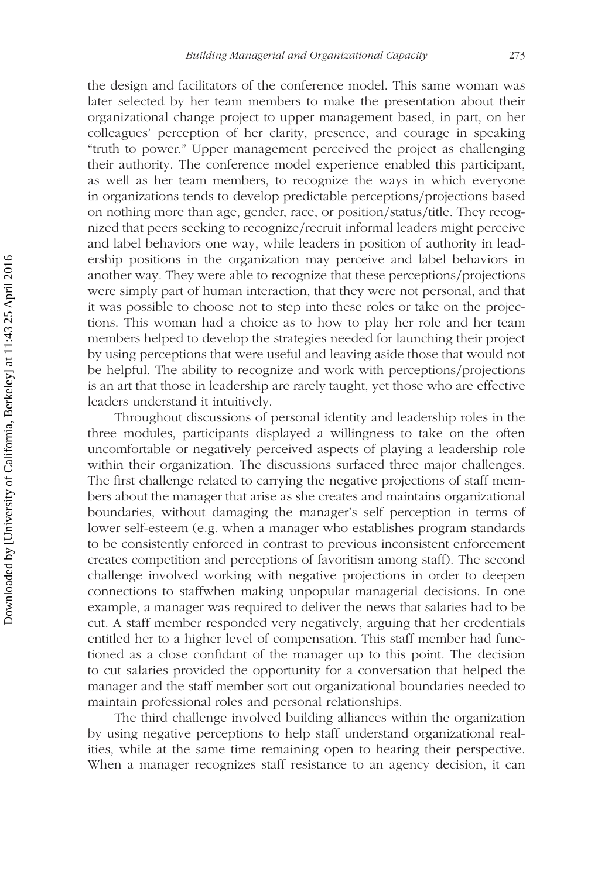the design and facilitators of the conference model. This same woman was later selected by her team members to make the presentation about their organizational change project to upper management based, in part, on her colleagues' perception of her clarity, presence, and courage in speaking "truth to power." Upper management perceived the project as challenging their authority. The conference model experience enabled this participant, as well as her team members, to recognize the ways in which everyone in organizations tends to develop predictable perceptions*/*projections based on nothing more than age, gender, race, or position*/*status*/*title. They recognized that peers seeking to recognize*/*recruit informal leaders might perceive and label behaviors one way, while leaders in position of authority in leadership positions in the organization may perceive and label behaviors in another way. They were able to recognize that these perceptions*/*projections were simply part of human interaction, that they were not personal, and that it was possible to choose not to step into these roles or take on the projections. This woman had a choice as to how to play her role and her team members helped to develop the strategies needed for launching their project by using perceptions that were useful and leaving aside those that would not be helpful. The ability to recognize and work with perceptions*/*projections is an art that those in leadership are rarely taught, yet those who are effective leaders understand it intuitively.

Throughout discussions of personal identity and leadership roles in the three modules, participants displayed a willingness to take on the often uncomfortable or negatively perceived aspects of playing a leadership role within their organization. The discussions surfaced three major challenges. The first challenge related to carrying the negative projections of staff members about the manager that arise as she creates and maintains organizational boundaries, without damaging the manager's self perception in terms of lower self-esteem (e.g. when a manager who establishes program standards to be consistently enforced in contrast to previous inconsistent enforcement creates competition and perceptions of favoritism among staff). The second challenge involved working with negative projections in order to deepen connections to staffwhen making unpopular managerial decisions. In one example, a manager was required to deliver the news that salaries had to be cut. A staff member responded very negatively, arguing that her credentials entitled her to a higher level of compensation. This staff member had functioned as a close confidant of the manager up to this point. The decision to cut salaries provided the opportunity for a conversation that helped the manager and the staff member sort out organizational boundaries needed to maintain professional roles and personal relationships.

The third challenge involved building alliances within the organization by using negative perceptions to help staff understand organizational realities, while at the same time remaining open to hearing their perspective. When a manager recognizes staff resistance to an agency decision, it can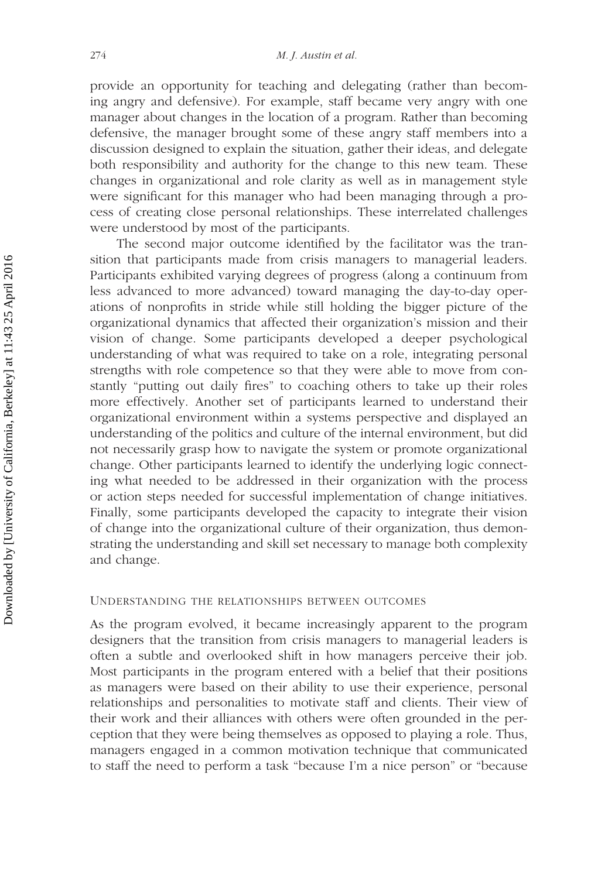provide an opportunity for teaching and delegating (rather than becoming angry and defensive). For example, staff became very angry with one manager about changes in the location of a program. Rather than becoming defensive, the manager brought some of these angry staff members into a discussion designed to explain the situation, gather their ideas, and delegate both responsibility and authority for the change to this new team. These changes in organizational and role clarity as well as in management style were significant for this manager who had been managing through a process of creating close personal relationships. These interrelated challenges were understood by most of the participants.

The second major outcome identified by the facilitator was the transition that participants made from crisis managers to managerial leaders. Participants exhibited varying degrees of progress (along a continuum from less advanced to more advanced) toward managing the day-to-day operations of nonprofits in stride while still holding the bigger picture of the organizational dynamics that affected their organization's mission and their vision of change. Some participants developed a deeper psychological understanding of what was required to take on a role, integrating personal strengths with role competence so that they were able to move from constantly "putting out daily fires" to coaching others to take up their roles more effectively. Another set of participants learned to understand their organizational environment within a systems perspective and displayed an understanding of the politics and culture of the internal environment, but did not necessarily grasp how to navigate the system or promote organizational change. Other participants learned to identify the underlying logic connecting what needed to be addressed in their organization with the process or action steps needed for successful implementation of change initiatives. Finally, some participants developed the capacity to integrate their vision of change into the organizational culture of their organization, thus demonstrating the understanding and skill set necessary to manage both complexity and change.

#### UNDERSTANDING THE RELATIONSHIPS BETWEEN OUTCOMES

As the program evolved, it became increasingly apparent to the program designers that the transition from crisis managers to managerial leaders is often a subtle and overlooked shift in how managers perceive their job. Most participants in the program entered with a belief that their positions as managers were based on their ability to use their experience, personal relationships and personalities to motivate staff and clients. Their view of their work and their alliances with others were often grounded in the perception that they were being themselves as opposed to playing a role. Thus, managers engaged in a common motivation technique that communicated to staff the need to perform a task "because I'm a nice person" or "because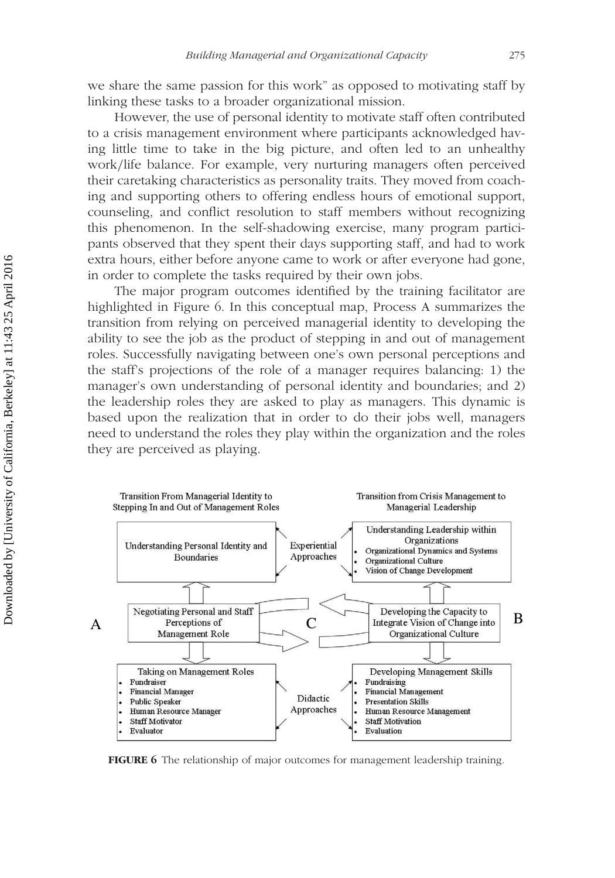we share the same passion for this work" as opposed to motivating staff by linking these tasks to a broader organizational mission.

However, the use of personal identity to motivate staff often contributed to a crisis management environment where participants acknowledged having little time to take in the big picture, and often led to an unhealthy work*/*life balance. For example, very nurturing managers often perceived their caretaking characteristics as personality traits. They moved from coaching and supporting others to offering endless hours of emotional support, counseling, and conflict resolution to staff members without recognizing this phenomenon. In the self-shadowing exercise, many program participants observed that they spent their days supporting staff, and had to work extra hours, either before anyone came to work or after everyone had gone, in order to complete the tasks required by their own jobs.

The major program outcomes identified by the training facilitator are highlighted in Figure 6. In this conceptual map, Process A summarizes the transition from relying on perceived managerial identity to developing the ability to see the job as the product of stepping in and out of management roles. Successfully navigating between one's own personal perceptions and the staff's projections of the role of a manager requires balancing: 1) the manager's own understanding of personal identity and boundaries; and 2) the leadership roles they are asked to play as managers. This dynamic is based upon the realization that in order to do their jobs well, managers need to understand the roles they play within the organization and the roles they are perceived as playing.



**FIGURE 6** The relationship of major outcomes for management leadership training.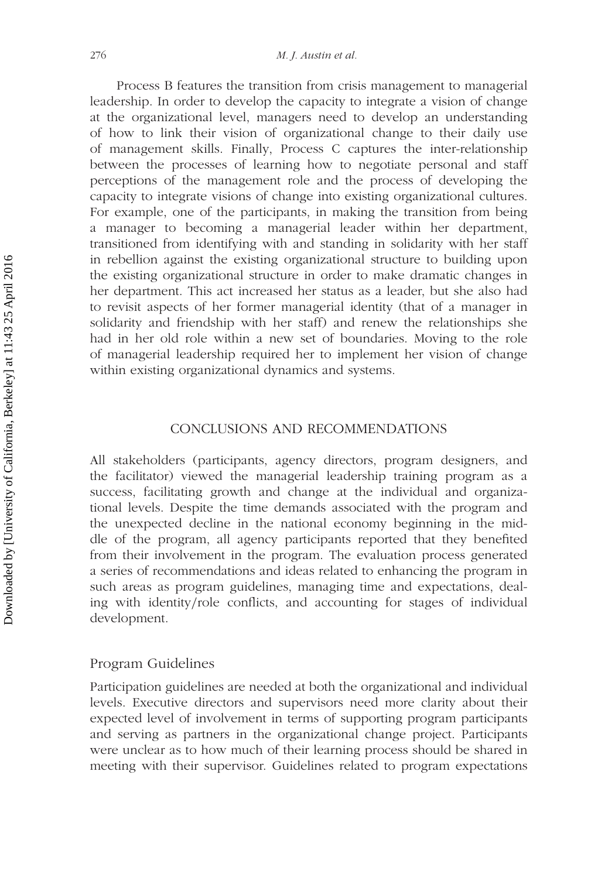Process B features the transition from crisis management to managerial leadership. In order to develop the capacity to integrate a vision of change at the organizational level, managers need to develop an understanding of how to link their vision of organizational change to their daily use of management skills. Finally, Process C captures the inter-relationship between the processes of learning how to negotiate personal and staff perceptions of the management role and the process of developing the capacity to integrate visions of change into existing organizational cultures. For example, one of the participants, in making the transition from being a manager to becoming a managerial leader within her department, transitioned from identifying with and standing in solidarity with her staff in rebellion against the existing organizational structure to building upon the existing organizational structure in order to make dramatic changes in her department. This act increased her status as a leader, but she also had to revisit aspects of her former managerial identity (that of a manager in solidarity and friendship with her staff) and renew the relationships she had in her old role within a new set of boundaries. Moving to the role of managerial leadership required her to implement her vision of change within existing organizational dynamics and systems.

#### CONCLUSIONS AND RECOMMENDATIONS

All stakeholders (participants, agency directors, program designers, and the facilitator) viewed the managerial leadership training program as a success, facilitating growth and change at the individual and organizational levels. Despite the time demands associated with the program and the unexpected decline in the national economy beginning in the middle of the program, all agency participants reported that they benefited from their involvement in the program. The evaluation process generated a series of recommendations and ideas related to enhancing the program in such areas as program guidelines, managing time and expectations, dealing with identity*/*role conflicts, and accounting for stages of individual development.

#### Program Guidelines

Participation guidelines are needed at both the organizational and individual levels. Executive directors and supervisors need more clarity about their expected level of involvement in terms of supporting program participants and serving as partners in the organizational change project. Participants were unclear as to how much of their learning process should be shared in meeting with their supervisor. Guidelines related to program expectations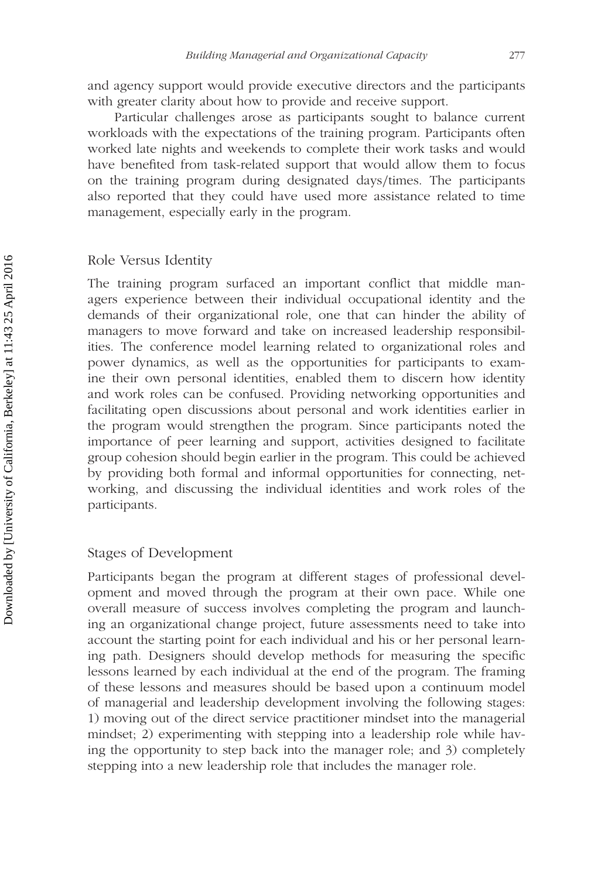and agency support would provide executive directors and the participants with greater clarity about how to provide and receive support.

Particular challenges arose as participants sought to balance current workloads with the expectations of the training program. Participants often worked late nights and weekends to complete their work tasks and would have benefited from task-related support that would allow them to focus on the training program during designated days*/*times. The participants also reported that they could have used more assistance related to time management, especially early in the program.

# Role Versus Identity

The training program surfaced an important conflict that middle managers experience between their individual occupational identity and the demands of their organizational role, one that can hinder the ability of managers to move forward and take on increased leadership responsibilities. The conference model learning related to organizational roles and power dynamics, as well as the opportunities for participants to examine their own personal identities, enabled them to discern how identity and work roles can be confused. Providing networking opportunities and facilitating open discussions about personal and work identities earlier in the program would strengthen the program. Since participants noted the importance of peer learning and support, activities designed to facilitate group cohesion should begin earlier in the program. This could be achieved by providing both formal and informal opportunities for connecting, networking, and discussing the individual identities and work roles of the participants.

#### Stages of Development

Participants began the program at different stages of professional development and moved through the program at their own pace. While one overall measure of success involves completing the program and launching an organizational change project, future assessments need to take into account the starting point for each individual and his or her personal learning path. Designers should develop methods for measuring the specific lessons learned by each individual at the end of the program. The framing of these lessons and measures should be based upon a continuum model of managerial and leadership development involving the following stages: 1) moving out of the direct service practitioner mindset into the managerial mindset; 2) experimenting with stepping into a leadership role while having the opportunity to step back into the manager role; and 3) completely stepping into a new leadership role that includes the manager role.

Downloaded by [University of California, Berkeley] at 11:43 25 April 2016 Downloaded by [University of California, Berkeley] at 11:43 25 April 2016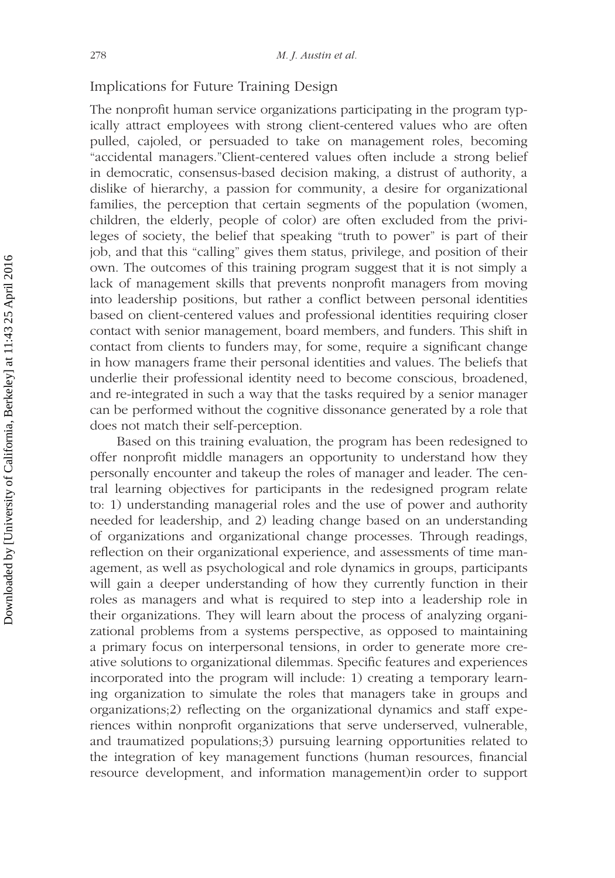# Implications for Future Training Design

The nonprofit human service organizations participating in the program typically attract employees with strong client-centered values who are often pulled, cajoled, or persuaded to take on management roles, becoming "accidental managers."Client-centered values often include a strong belief in democratic, consensus-based decision making, a distrust of authority, a dislike of hierarchy, a passion for community, a desire for organizational families, the perception that certain segments of the population (women, children, the elderly, people of color) are often excluded from the privileges of society, the belief that speaking "truth to power" is part of their job, and that this "calling" gives them status, privilege, and position of their own. The outcomes of this training program suggest that it is not simply a lack of management skills that prevents nonprofit managers from moving into leadership positions, but rather a conflict between personal identities based on client-centered values and professional identities requiring closer contact with senior management, board members, and funders. This shift in contact from clients to funders may, for some, require a significant change in how managers frame their personal identities and values. The beliefs that underlie their professional identity need to become conscious, broadened, and re-integrated in such a way that the tasks required by a senior manager can be performed without the cognitive dissonance generated by a role that does not match their self-perception.

Based on this training evaluation, the program has been redesigned to offer nonprofit middle managers an opportunity to understand how they personally encounter and takeup the roles of manager and leader. The central learning objectives for participants in the redesigned program relate to: 1) understanding managerial roles and the use of power and authority needed for leadership, and 2) leading change based on an understanding of organizations and organizational change processes. Through readings, reflection on their organizational experience, and assessments of time management, as well as psychological and role dynamics in groups, participants will gain a deeper understanding of how they currently function in their roles as managers and what is required to step into a leadership role in their organizations. They will learn about the process of analyzing organizational problems from a systems perspective, as opposed to maintaining a primary focus on interpersonal tensions, in order to generate more creative solutions to organizational dilemmas. Specific features and experiences incorporated into the program will include: 1) creating a temporary learning organization to simulate the roles that managers take in groups and organizations;2) reflecting on the organizational dynamics and staff experiences within nonprofit organizations that serve underserved, vulnerable, and traumatized populations;3) pursuing learning opportunities related to the integration of key management functions (human resources, financial resource development, and information management)in order to support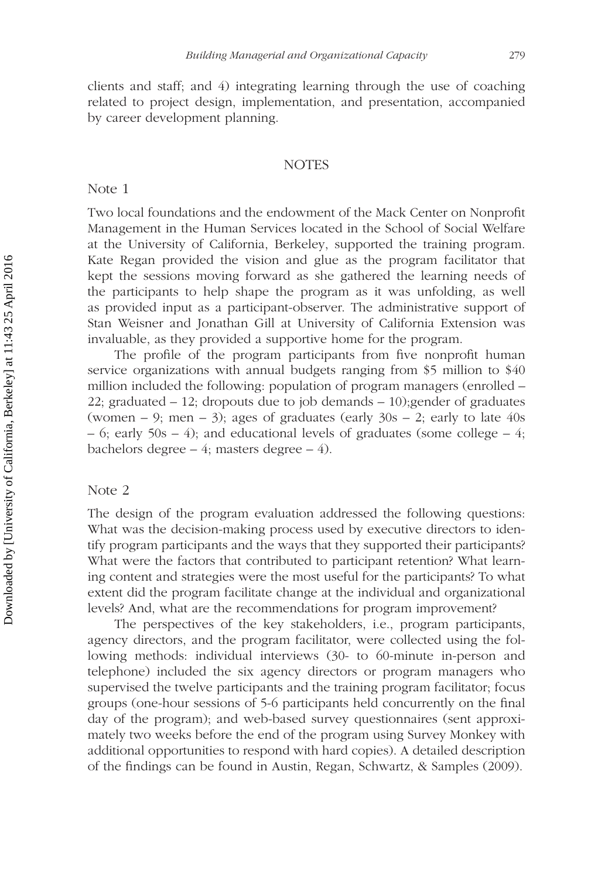clients and staff; and 4) integrating learning through the use of coaching related to project design, implementation, and presentation, accompanied by career development planning.

#### **NOTES**

Note 1

Two local foundations and the endowment of the Mack Center on Nonprofit Management in the Human Services located in the School of Social Welfare at the University of California, Berkeley, supported the training program. Kate Regan provided the vision and glue as the program facilitator that kept the sessions moving forward as she gathered the learning needs of the participants to help shape the program as it was unfolding, as well as provided input as a participant-observer. The administrative support of Stan Weisner and Jonathan Gill at University of California Extension was invaluable, as they provided a supportive home for the program.

The profile of the program participants from five nonprofit human service organizations with annual budgets ranging from \$5 million to \$40 million included the following: population of program managers (enrolled – 22; graduated  $-12$ ; dropouts due to job demands  $-10$ ); gender of graduates (women  $-9$ ; men  $-3$ ); ages of graduates (early  $30s - 2$ ; early to late  $40s$  $-6$ ; early 50s  $-4$ ); and educational levels of graduates (some college  $-4$ ; bachelors degree  $-4$ ; masters degree  $-4$ ).

#### Note 2

The design of the program evaluation addressed the following questions: What was the decision-making process used by executive directors to identify program participants and the ways that they supported their participants? What were the factors that contributed to participant retention? What learning content and strategies were the most useful for the participants? To what extent did the program facilitate change at the individual and organizational levels? And, what are the recommendations for program improvement?

The perspectives of the key stakeholders, i.e., program participants, agency directors, and the program facilitator, were collected using the following methods: individual interviews (30- to 60-minute in-person and telephone) included the six agency directors or program managers who supervised the twelve participants and the training program facilitator; focus groups (one-hour sessions of 5-6 participants held concurrently on the final day of the program); and web-based survey questionnaires (sent approximately two weeks before the end of the program using Survey Monkey with additional opportunities to respond with hard copies). A detailed description of the findings can be found in Austin, Regan, Schwartz, & Samples (2009).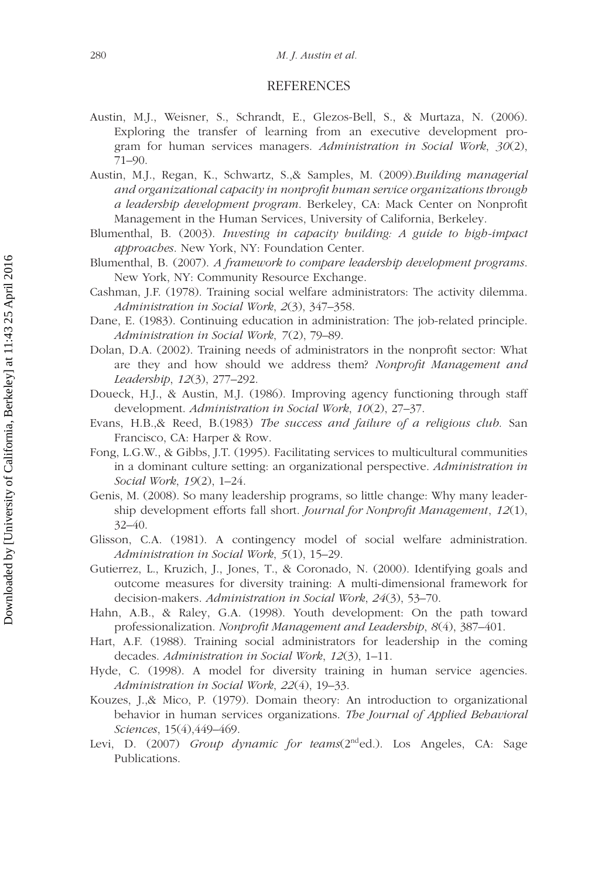#### REFERENCES

- Austin, M.J., Weisner, S., Schrandt, E., Glezos-Bell, S., & Murtaza, N. (2006). Exploring the transfer of learning from an executive development program for human services managers. *Administration in Social Work*, *30*(2), 71–90.
- Austin, M.J., Regan, K., Schwartz, S.,& Samples, M. (2009).*Building managerial and organizational capacity in nonprofit human service organizations through a leadership development program*. Berkeley, CA: Mack Center on Nonprofit Management in the Human Services, University of California, Berkeley.

Blumenthal, B. (2003). *Investing in capacity building: A guide to high-impact approaches*. New York, NY: Foundation Center.

- Blumenthal, B. (2007). *A framework to compare leadership development programs*. New York, NY: Community Resource Exchange.
- Cashman, J.F. (1978). Training social welfare administrators: The activity dilemma. *Administration in Social Work*, *2*(3), 347–358.
- Dane, E. (1983). Continuing education in administration: The job-related principle. *Administration in Social Work*, *7*(2), 79–89.
- Dolan, D.A. (2002). Training needs of administrators in the nonprofit sector: What are they and how should we address them? *Nonprofit Management and Leadership*, *12*(3), 277–292.
- Doueck, H.J., & Austin, M.J. (1986). Improving agency functioning through staff development. *Administration in Social Work*, *10*(2), 27–37.
- Evans, H.B.,& Reed, B.(1983) *The success and failure of a religious club*. San Francisco, CA: Harper & Row.
- Fong, L.G.W., & Gibbs, J.T. (1995). Facilitating services to multicultural communities in a dominant culture setting: an organizational perspective. *Administration in Social Work*, *19*(2), 1–24.
- Genis, M. (2008). So many leadership programs, so little change: Why many leadership development efforts fall short. *Journal for Nonprofit Management*, *12*(1), 32–40.
- Glisson, C.A. (1981). A contingency model of social welfare administration. *Administration in Social Work*, *5*(1), 15–29.
- Gutierrez, L., Kruzich, J., Jones, T., & Coronado, N. (2000). Identifying goals and outcome measures for diversity training: A multi-dimensional framework for decision-makers. *Administration in Social Work*, *24*(3), 53–70.
- Hahn, A.B., & Raley, G.A. (1998). Youth development: On the path toward professionalization. *Nonprofit Management and Leadership*, *8*(4), 387–401.
- Hart, A.F. (1988). Training social administrators for leadership in the coming decades. *Administration in Social Work*, *12*(3), 1–11.
- Hyde, C. (1998). A model for diversity training in human service agencies. *Administration in Social Work*, *22*(4), 19–33.
- Kouzes, J.,& Mico, P. (1979). Domain theory: An introduction to organizational behavior in human services organizations. *The Journal of Applied Behavioral Sciences*, 15(4),449–469.
- Levi, D. (2007) *Group dynamic for teams*(2nded.). Los Angeles, CA: Sage Publications.